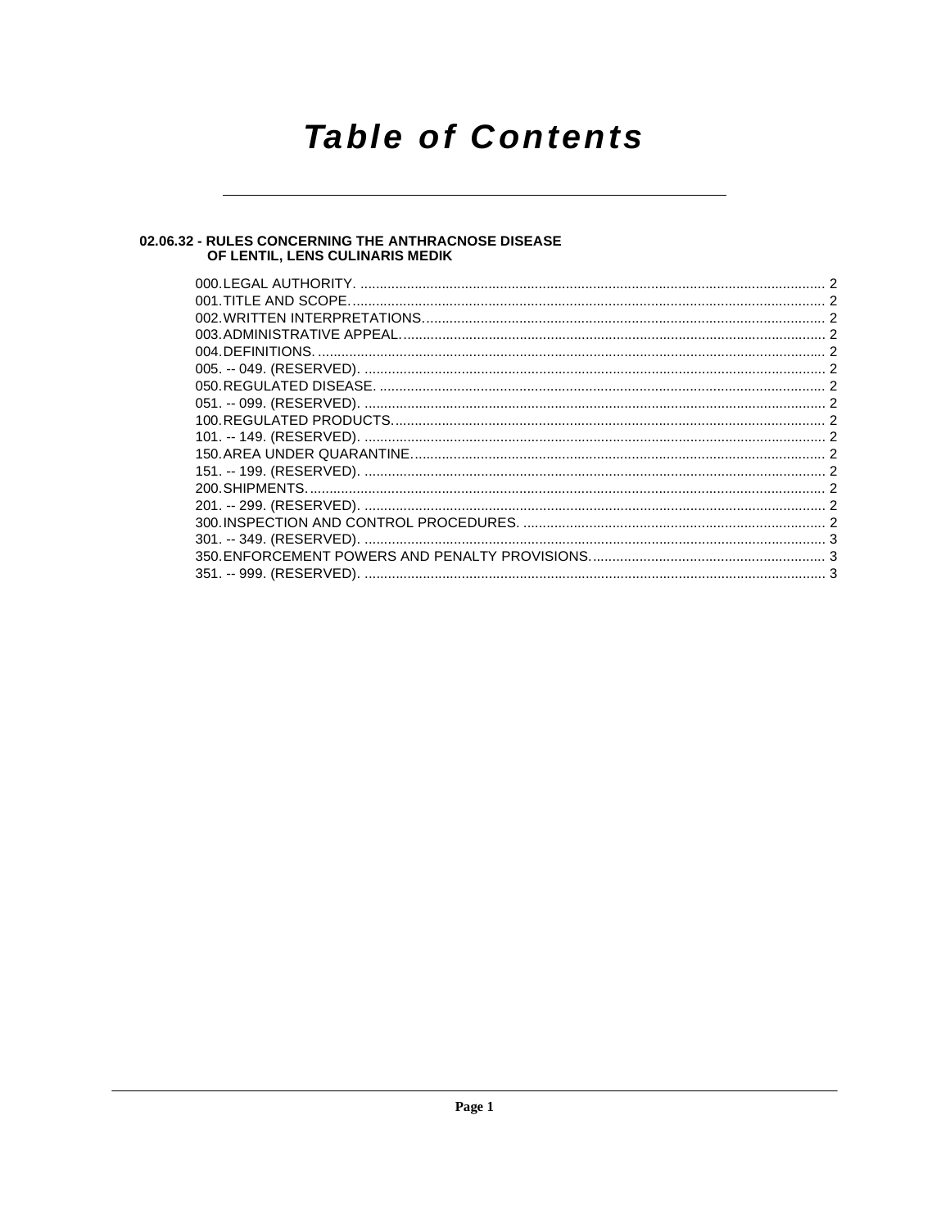## **Table of Contents**

### 02.06.32 - RULES CONCERNING THE ANTHRACNOSE DISEASE<br>OF LENTIL, LENS CULINARIS MEDIK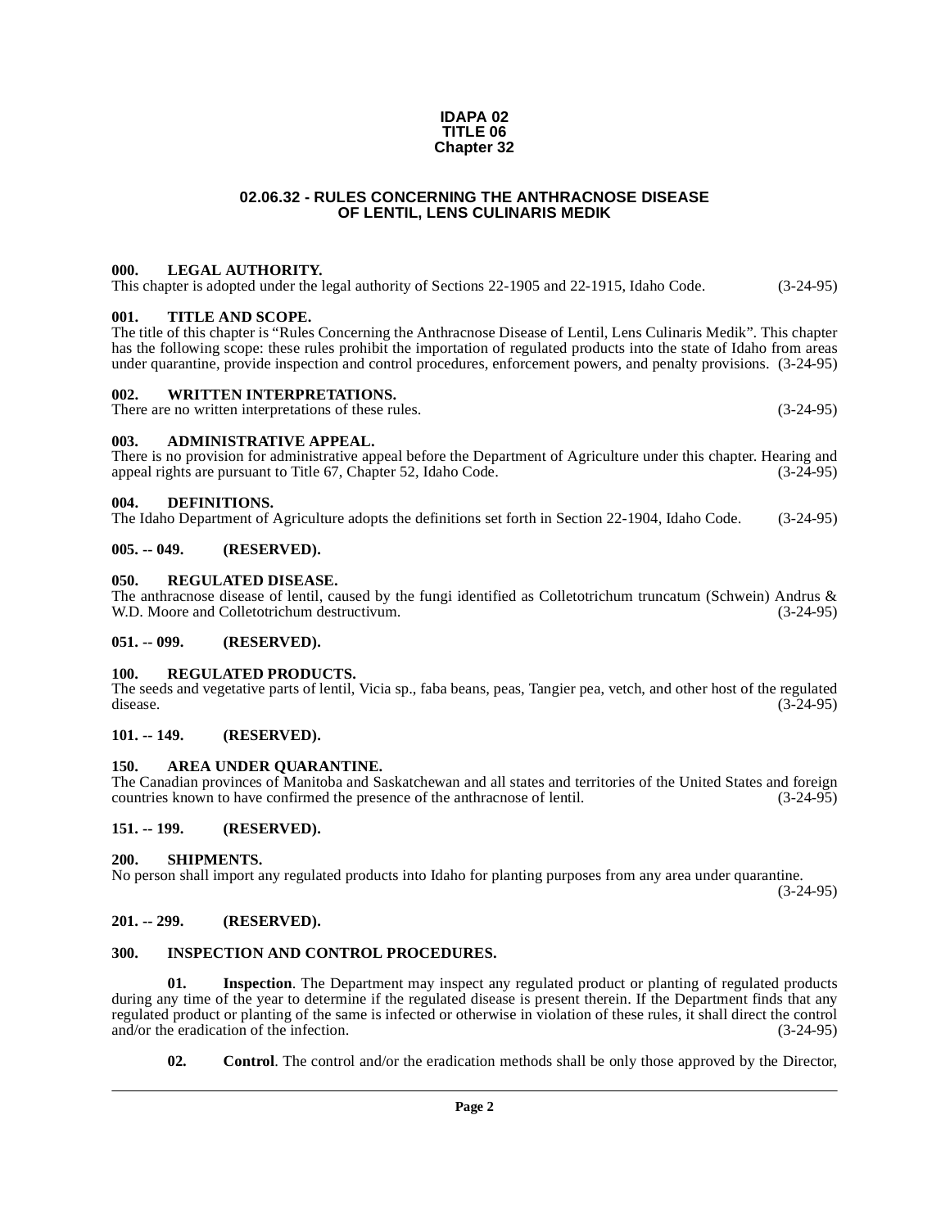#### **IDAPA 02 TITLE 06 Chapter 32**

#### **02.06.32 - RULES CONCERNING THE ANTHRACNOSE DISEASE OF LENTIL, LENS CULINARIS MEDIK**

#### <span id="page-1-1"></span><span id="page-1-0"></span>**000. LEGAL AUTHORITY.**

This chapter is adopted under the legal authority of Sections 22-1905 and 22-1915, Idaho Code. (3-24-95)

#### <span id="page-1-2"></span>**001. TITLE AND SCOPE.**

The title of this chapter is "Rules Concerning the Anthracnose Disease of Lentil, Lens Culinaris Medik". This chapter has the following scope: these rules prohibit the importation of regulated products into the state of Idaho from areas under quarantine, provide inspection and control procedures, enforcement powers, and penalty provisions. (3-24-95)

#### <span id="page-1-3"></span>**002. WRITTEN INTERPRETATIONS.**

There are no written interpretations of these rules. (3-24-95)

#### <span id="page-1-4"></span>**003. ADMINISTRATIVE APPEAL.**

There is no provision for administrative appeal before the Department of Agriculture under this chapter. Hearing and appeal rights are pursuant to Title 67. Chapter 52. Idaho Code. (3-24-95) appeal rights are pursuant to Title 67, Chapter 52, Idaho Code.

#### <span id="page-1-18"></span><span id="page-1-5"></span>**004. DEFINITIONS.**

The Idaho Department of Agriculture adopts the definitions set forth in Section 22-1904, Idaho Code. (3-24-95)

#### <span id="page-1-6"></span>**005. -- 049. (RESERVED).**

#### <span id="page-1-21"></span><span id="page-1-7"></span>**050. REGULATED DISEASE.**

The anthracnose disease of lentil, caused by the fungi identified as Colletotrichum truncatum (Schwein) Andrus & W.D. Moore and Colletotrichum destructivum. (3-24-95) W.D. Moore and Colletotrichum destructivum.

#### <span id="page-1-8"></span>**051. -- 099. (RESERVED).**

#### <span id="page-1-22"></span><span id="page-1-9"></span>**100. REGULATED PRODUCTS.**

The seeds and vegetative parts of lentil, Vicia sp., faba beans, peas, Tangier pea, vetch, and other host of the regulated disease. (3-24-95) disease.  $(3-24-95)$ 

#### <span id="page-1-10"></span>**101. -- 149. (RESERVED).**

#### <span id="page-1-16"></span><span id="page-1-11"></span>**150. AREA UNDER QUARANTINE.**

The Canadian provinces of Manitoba and Saskatchewan and all states and territories of the United States and foreign countries known to have confirmed the presence of the anthracnose of lentil. (3-24-95)

#### <span id="page-1-12"></span>**151. -- 199. (RESERVED).**

#### <span id="page-1-23"></span><span id="page-1-13"></span>**200. SHIPMENTS.**

No person shall import any regulated products into Idaho for planting purposes from any area under quarantine.

(3-24-95)

#### <span id="page-1-14"></span>**201. -- 299. (RESERVED).**

#### <span id="page-1-20"></span><span id="page-1-15"></span>**300. INSPECTION AND CONTROL PROCEDURES.**

**01.** Inspection. The Department may inspect any regulated product or planting of regulated products during any time of the year to determine if the regulated disease is present therein. If the Department finds that any regulated product or planting of the same is infected or otherwise in violation of these rules, it shall direct the control and/or the eradication of the infection. (3-24-95)

<span id="page-1-19"></span><span id="page-1-17"></span>**02. Control**. The control and/or the eradication methods shall be only those approved by the Director,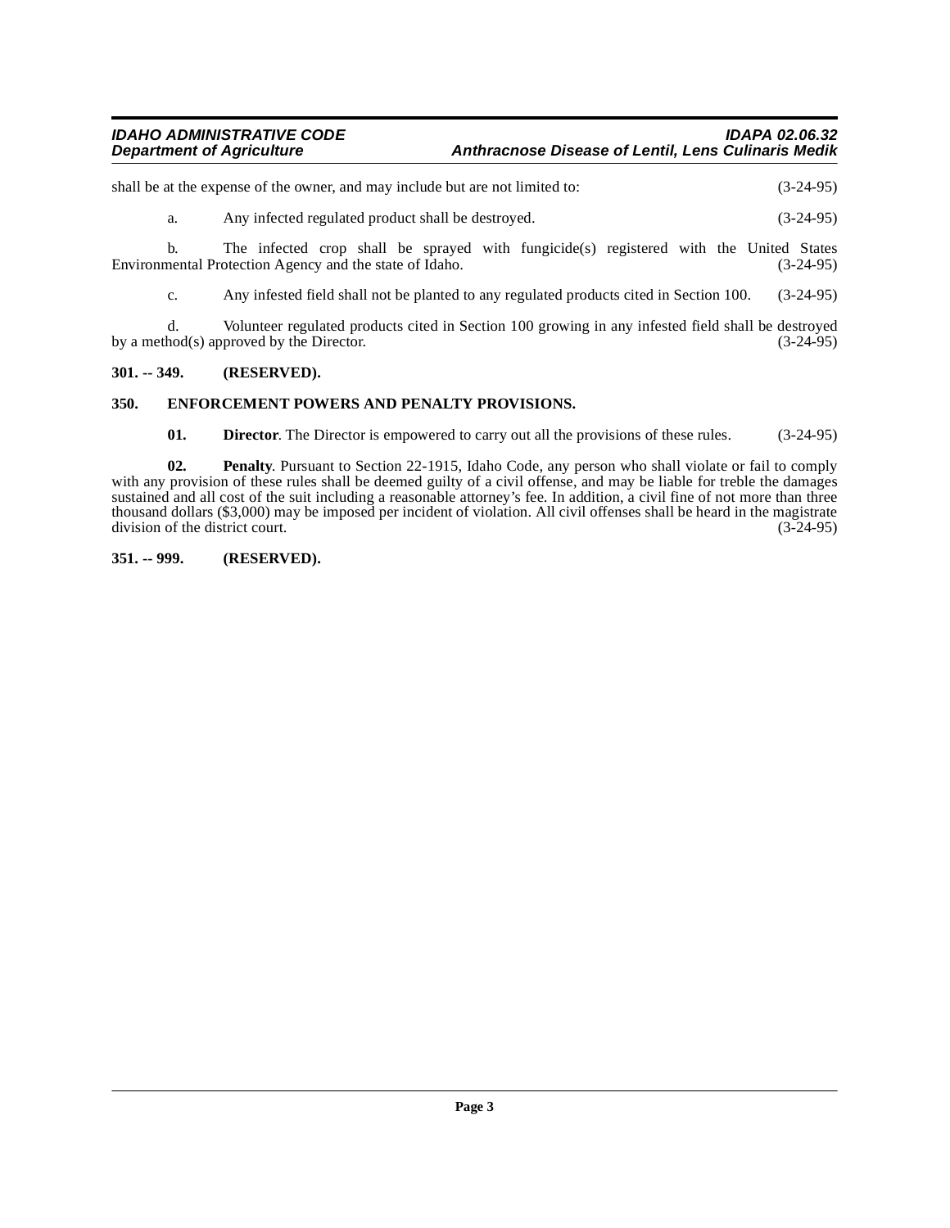| <b>IDAHO ADMINISTRATIVE CODE</b> | <b>IDAPA 02.06.32</b>                                      |
|----------------------------------|------------------------------------------------------------|
| <b>Department of Agriculture</b> | <b>Anthracnose Disease of Lentil, Lens Culinaris Medik</b> |

shall be at the expense of the owner, and may include but are not limited to: (3-24-95)

a. Any infected regulated product shall be destroyed. (3-24-95)

b. The infected crop shall be sprayed with fungicide(s) registered with the United States Environmental Protection Agency and the state of Idaho. (3-24-95)

c. Any infested field shall not be planted to any regulated products cited in Section 100. (3-24-95)

d. Volunteer regulated products cited in Section 100 growing in any infested field shall be destroyed by a method(s) approved by the Director.

#### <span id="page-2-0"></span>**301. -- 349. (RESERVED).**

#### <span id="page-2-1"></span>**350. ENFORCEMENT POWERS AND PENALTY PROVISIONS.**

<span id="page-2-5"></span><span id="page-2-4"></span><span id="page-2-3"></span>**01. Director**. The Director is empowered to carry out all the provisions of these rules. (3-24-95)

**02. Penalty**. Pursuant to Section 22-1915, Idaho Code, any person who shall violate or fail to comply with any provision of these rules shall be deemed guilty of a civil offense, and may be liable for treble the damages sustained and all cost of the suit including a reasonable attorney's fee. In addition, a civil fine of not more than three thousand dollars (\$3,000) may be imposed per incident of violation. All civil offenses shall be heard in the magistrate division of the district court. division of the district court.

#### <span id="page-2-2"></span>**351. -- 999. (RESERVED).**